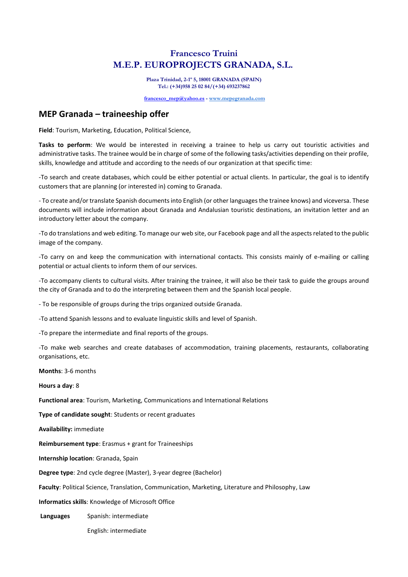## **Francesco Truini M.E.P. EUROPROJECTS GRANADA, S.L.**

**Plaza Trinidad, 2-1º 5, 18001 GRANADA (SPAIN) Tel.: (+34)958 25 02 84/(+34) 693237862**

**[francesco\\_mep@yahoo.es](mailto:francesco_mep@yahoo.es) - [www.mepegranada.com](http://www.mepegranada.com/)**

## **MEP Granada – traineeship offer**

**Field**: Tourism, Marketing, Education, Political Science,

**Tasks to perform**: We would be interested in receiving a trainee to help us carry out touristic activities and administrative tasks. The trainee would be in charge of some of the following tasks/activities depending on their profile, skills, knowledge and attitude and according to the needs of our organization at that specific time:

-To search and create databases, which could be either potential or actual clients. In particular, the goal is to identify customers that are planning (or interested in) coming to Granada.

- To create and/or translate Spanish documents into English (or other languagesthe trainee knows) and viceversa. These documents will include information about Granada and Andalusian touristic destinations, an invitation letter and an introductory letter about the company.

-To do translations and web editing. To manage our web site, our Facebook page and all the aspects related to the public image of the company.

-To carry on and keep the communication with international contacts. This consists mainly of e-mailing or calling potential or actual clients to inform them of our services.

-To accompany clients to cultural visits. After training the trainee, it will also be their task to guide the groups around the city of Granada and to do the interpreting between them and the Spanish local people.

- To be responsible of groups during the trips organized outside Granada.

-To attend Spanish lessons and to evaluate linguistic skills and level of Spanish.

-To prepare the intermediate and final reports of the groups.

-To make web searches and create databases of accommodation, training placements, restaurants, collaborating organisations, etc.

**Months**: 3-6 months

**Hours a day**: 8

**Functional area**: Tourism, Marketing, Communications and International Relations

**Type of candidate sought**: Students or recent graduates

**Availability:** immediate

**Reimbursement type**: Erasmus + grant for Traineeships

**Internship location**: Granada, Spain

**Degree type**: 2nd cycle degree (Master), 3-year degree (Bachelor)

**Faculty**: Political Science, Translation, Communication, Marketing, Literature and Philosophy, Law

**Informatics skills**: Knowledge of Microsoft Office

**Languages** Spanish: intermediate

English: intermediate